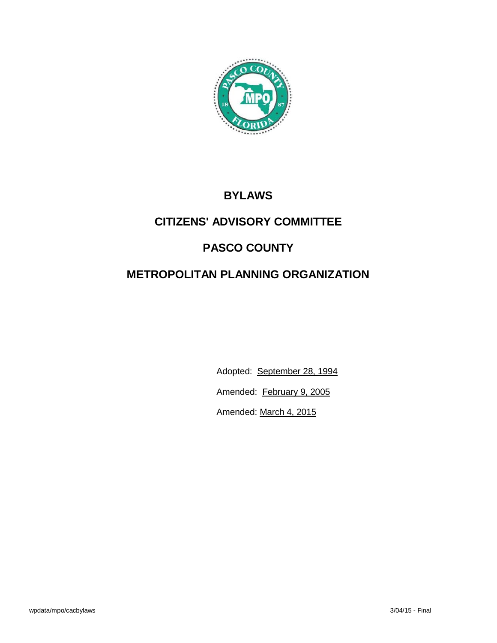

# **BYLAWS**

# **CITIZENS' ADVISORY COMMITTEE**

# **PASCO COUNTY**

# **METROPOLITAN PLANNING ORGANIZATION**

Adopted: September 28, 1994

Amended: February 9, 2005

Amended: March 4, 2015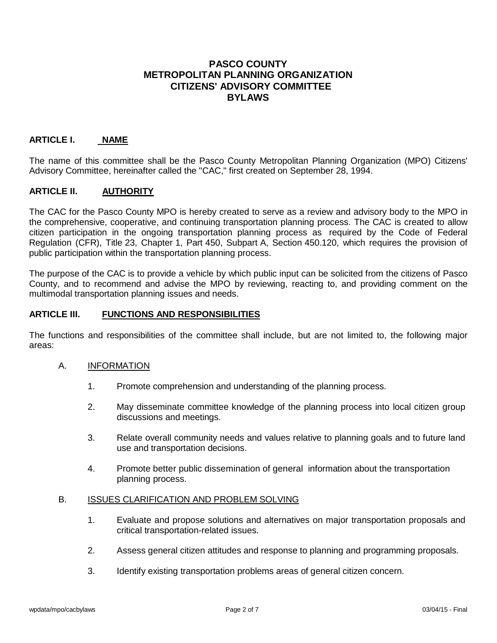# **PASCO COUNTY METROPOLITAN PLANNING ORGANIZATION CITIZENS' ADVISORY COMMITTEE BYLAWS**

### **ARTICLE I. NAME**

The name of this committee shall be the Pasco County Metropolitan Planning Organization (MPO) Citizens' Advisory Committee, hereinafter called the "CAC," first created on September 28, 1994.

#### **ARTICLE II. AUTHORITY**

The CAC for the Pasco County MPO is hereby created to serve as a review and advisory body to the MPO in the comprehensive, cooperative, and continuing transportation planning process. The CAC is created to allow citizen participation in the ongoing transportation planning process as required by the Code of Federal Regulation (CFR), Title 23, Chapter 1, Part 450, Subpart A, Section 450.120, which requires the provision of public participation within the transportation planning process.

The purpose of the CAC is to provide a vehicle by which public input can be solicited from the citizens of Pasco County, and to recommend and advise the MPO by reviewing, reacting to, and providing comment on the multimodal transportation planning issues and needs.

#### **ARTICLE III. FUNCTIONS AND RESPONSIBILITIES**

The functions and responsibilities of the committee shall include, but are not limited to, the following major areas:

#### A. INFORMATION

- 1. Promote comprehension and understanding of the planning process.
- 2. May disseminate committee knowledge of the planning process into local citizen group discussions and meetings.
- 3. Relate overall community needs and values relative to planning goals and to future land use and transportation decisions.
- 4. Promote better public dissemination of general information about the transportation planning process.

### B. ISSUES CLARIFICATION AND PROBLEM SOLVING

- 1. Evaluate and propose solutions and alternatives on major transportation proposals and critical transportation-related issues.
- 2. Assess general citizen attitudes and response to planning and programming proposals.
- 3. Identify existing transportation problems areas of general citizen concern.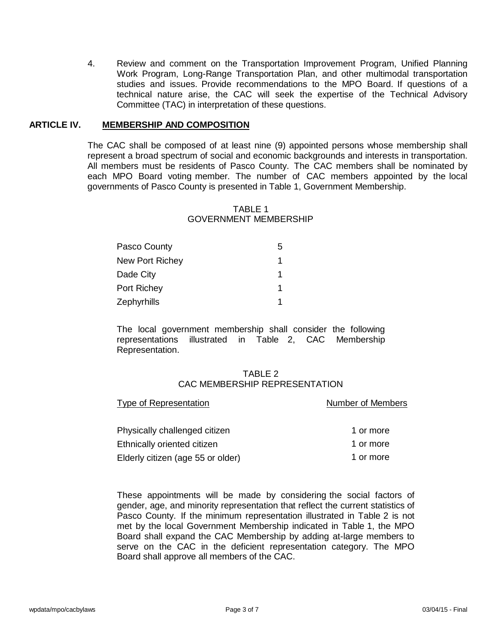4. Review and comment on the Transportation Improvement Program, Unified Planning Work Program, Long-Range Transportation Plan, and other multimodal transportation studies and issues. Provide recommendations to the MPO Board. If questions of a technical nature arise, the CAC will seek the expertise of the Technical Advisory Committee (TAC) in interpretation of these questions.

#### **ARTICLE IV. MEMBERSHIP AND COMPOSITION**

The CAC shall be composed of at least nine (9) appointed persons whose membership shall represent a broad spectrum of social and economic backgrounds and interests in transportation. All members must be residents of Pasco County. The CAC members shall be nominated by each MPO Board voting member. The number of CAC members appointed by the local governments of Pasco County is presented in Table 1, Government Membership.

### TABLE 1 GOVERNMENT MEMBERSHIP

| Pasco County           | 5 |
|------------------------|---|
| <b>New Port Richey</b> |   |
| Dade City              | 1 |
| Port Richey            | 1 |
| Zephyrhills            |   |

The local government membership shall consider the following representations illustrated in Table 2, CAC Membership Representation.

#### TABLE 2 CAC MEMBERSHIP REPRESENTATION

| <b>Type of Representation</b>     | <b>Number of Members</b> |  |
|-----------------------------------|--------------------------|--|
|                                   |                          |  |
| Physically challenged citizen     | 1 or more                |  |
| Ethnically oriented citizen       | 1 or more                |  |
| Elderly citizen (age 55 or older) | 1 or more                |  |

These appointments will be made by considering the social factors of gender, age, and minority representation that reflect the current statistics of Pasco County. If the minimum representation illustrated in Table 2 is not met by the local Government Membership indicated in Table 1, the MPO Board shall expand the CAC Membership by adding at-large members to serve on the CAC in the deficient representation category. The MPO Board shall approve all members of the CAC.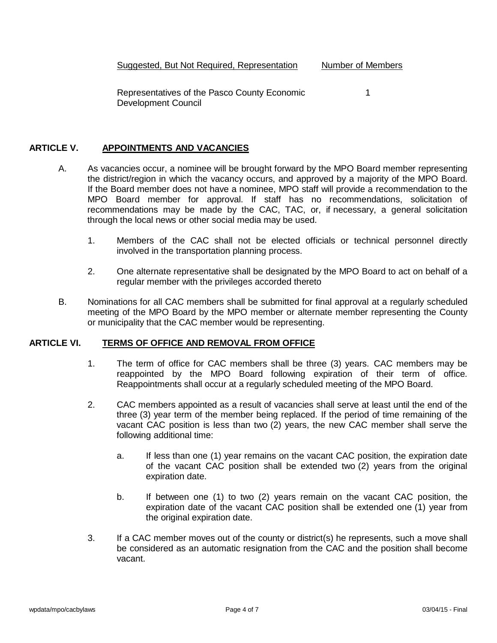Representatives of the Pasco County Economic 1 Development Council

### **ARTICLE V. APPOINTMENTS AND VACANCIES**

- A. As vacancies occur, a nominee will be brought forward by the MPO Board member representing the district/region in which the vacancy occurs, and approved by a majority of the MPO Board. If the Board member does not have a nominee, MPO staff will provide a recommendation to the MPO Board member for approval. If staff has no recommendations, solicitation of recommendations may be made by the CAC, TAC, or, if necessary, a general solicitation through the local news or other social media may be used.
	- 1. Members of the CAC shall not be elected officials or technical personnel directly involved in the transportation planning process.
	- 2. One alternate representative shall be designated by the MPO Board to act on behalf of a regular member with the privileges accorded thereto
- B. Nominations for all CAC members shall be submitted for final approval at a regularly scheduled meeting of the MPO Board by the MPO member or alternate member representing the County or municipality that the CAC member would be representing.

#### **ARTICLE VI. TERMS OF OFFICE AND REMOVAL FROM OFFICE**

- 1. The term of office for CAC members shall be three (3) years. CAC members may be reappointed by the MPO Board following expiration of their term of office. Reappointments shall occur at a regularly scheduled meeting of the MPO Board.
- 2. CAC members appointed as a result of vacancies shall serve at least until the end of the three (3) year term of the member being replaced. If the period of time remaining of the vacant CAC position is less than two (2) years, the new CAC member shall serve the following additional time:
	- a. If less than one (1) year remains on the vacant CAC position, the expiration date of the vacant CAC position shall be extended two (2) years from the original expiration date.
	- b. If between one (1) to two (2) years remain on the vacant CAC position, the expiration date of the vacant CAC position shall be extended one (1) year from the original expiration date.
- 3. If a CAC member moves out of the county or district(s) he represents, such a move shall be considered as an automatic resignation from the CAC and the position shall become vacant.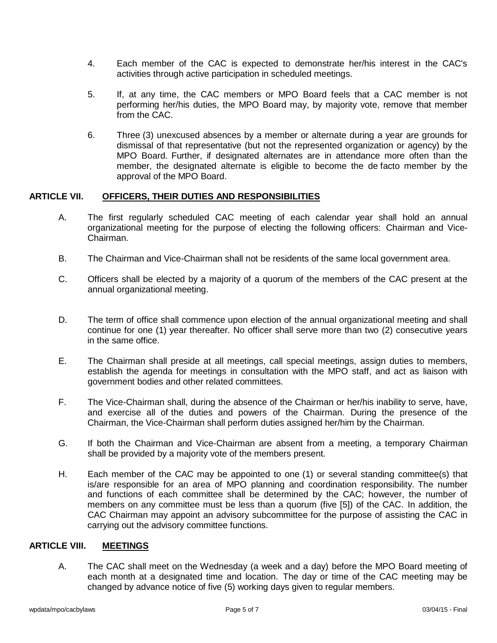- 4. Each member of the CAC is expected to demonstrate her/his interest in the CAC's activities through active participation in scheduled meetings.
- 5. If, at any time, the CAC members or MPO Board feels that a CAC member is not performing her/his duties, the MPO Board may, by majority vote, remove that member from the CAC.
- 6. Three (3) unexcused absences by a member or alternate during a year are grounds for dismissal of that representative (but not the represented organization or agency) by the MPO Board. Further, if designated alternates are in attendance more often than the member, the designated alternate is eligible to become the de facto member by the approval of the MPO Board.

## **ARTICLE VII. OFFICERS, THEIR DUTIES AND RESPONSIBILITIES**

- A. The first regularly scheduled CAC meeting of each calendar year shall hold an annual organizational meeting for the purpose of electing the following officers: Chairman and Vice-Chairman.
- B. The Chairman and Vice-Chairman shall not be residents of the same local government area.
- C. Officers shall be elected by a majority of a quorum of the members of the CAC present at the annual organizational meeting.
- D. The term of office shall commence upon election of the annual organizational meeting and shall continue for one (1) year thereafter. No officer shall serve more than two (2) consecutive years in the same office.
- E. The Chairman shall preside at all meetings, call special meetings, assign duties to members, establish the agenda for meetings in consultation with the MPO staff, and act as liaison with government bodies and other related committees.
- F. The Vice-Chairman shall, during the absence of the Chairman or her/his inability to serve, have, and exercise all of the duties and powers of the Chairman. During the presence of the Chairman, the Vice-Chairman shall perform duties assigned her/him by the Chairman.
- G. If both the Chairman and Vice-Chairman are absent from a meeting, a temporary Chairman shall be provided by a majority vote of the members present.
- H. Each member of the CAC may be appointed to one (1) or several standing committee(s) that is/are responsible for an area of MPO planning and coordination responsibility. The number and functions of each committee shall be determined by the CAC; however, the number of members on any committee must be less than a quorum (five [5]) of the CAC. In addition, the CAC Chairman may appoint an advisory subcommittee for the purpose of assisting the CAC in carrying out the advisory committee functions.

## **ARTICLE VIII. MEETINGS**

A. The CAC shall meet on the Wednesday (a week and a day) before the MPO Board meeting of each month at a designated time and location. The day or time of the CAC meeting may be changed by advance notice of five (5) working days given to regular members.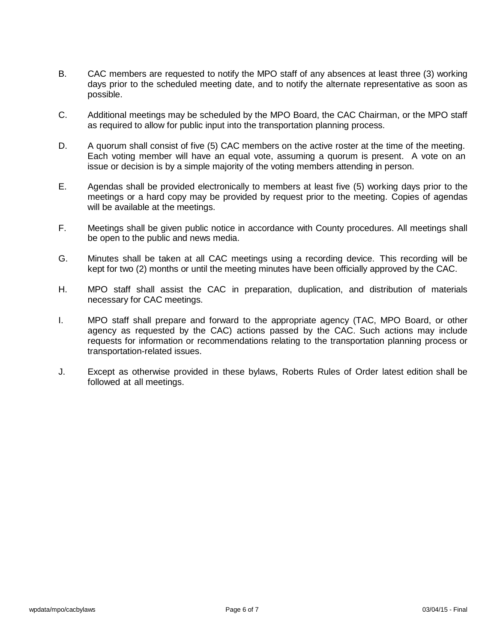- B. CAC members are requested to notify the MPO staff of any absences at least three (3) working days prior to the scheduled meeting date, and to notify the alternate representative as soon as possible.
- C. Additional meetings may be scheduled by the MPO Board, the CAC Chairman, or the MPO staff as required to allow for public input into the transportation planning process.
- D. A quorum shall consist of five (5) CAC members on the active roster at the time of the meeting. Each voting member will have an equal vote, assuming a quorum is present. A vote on an issue or decision is by a simple majority of the voting members attending in person.
- E. Agendas shall be provided electronically to members at least five (5) working days prior to the meetings or a hard copy may be provided by request prior to the meeting. Copies of agendas will be available at the meetings.
- F. Meetings shall be given public notice in accordance with County procedures. All meetings shall be open to the public and news media.
- G. Minutes shall be taken at all CAC meetings using a recording device. This recording will be kept for two (2) months or until the meeting minutes have been officially approved by the CAC.
- H. MPO staff shall assist the CAC in preparation, duplication, and distribution of materials necessary for CAC meetings.
- I. MPO staff shall prepare and forward to the appropriate agency (TAC, MPO Board, or other agency as requested by the CAC) actions passed by the CAC. Such actions may include requests for information or recommendations relating to the transportation planning process or transportation-related issues.
- J. Except as otherwise provided in these bylaws, Roberts Rules of Order latest edition shall be followed at all meetings.